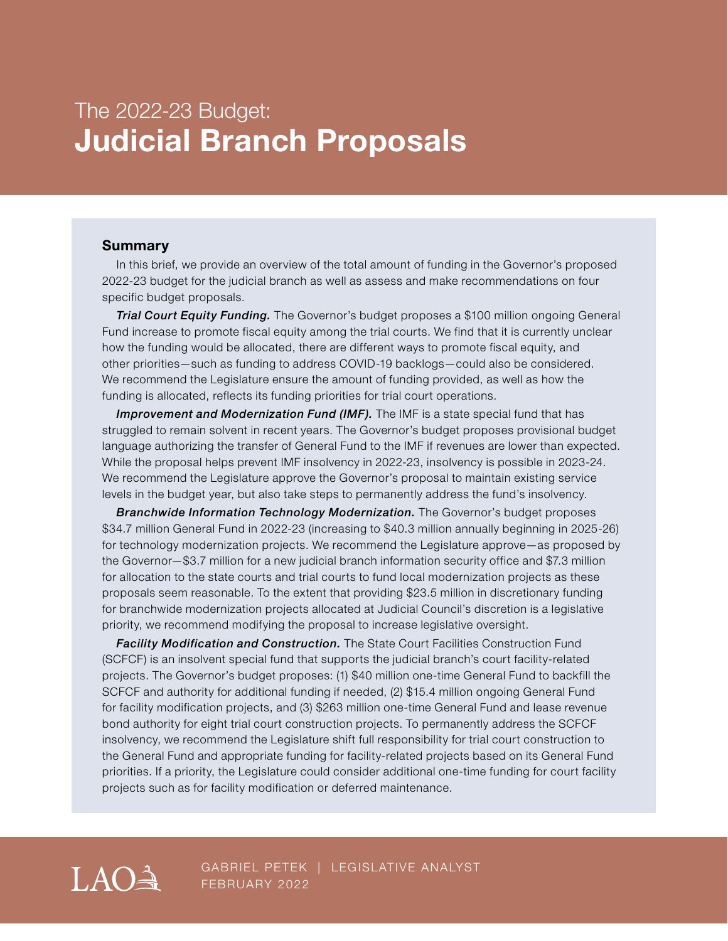# The 2022-23 Budget: **Judicial Branch Proposals**

#### **Summary**

In this brief, we provide an overview of the total amount of funding in the Governor's proposed 2022-23 budget for the judicial branch as well as assess and make recommendations on four specific budget proposals.

*Trial Court Equity Funding.* The Governor's budget proposes a \$100 million ongoing General Fund increase to promote fiscal equity among the trial courts. We find that it is currently unclear how the funding would be allocated, there are different ways to promote fiscal equity, and other priorities—such as funding to address COVID-19 backlogs—could also be considered. We recommend the Legislature ensure the amount of funding provided, as well as how the funding is allocated, reflects its funding priorities for trial court operations.

*Improvement and Modernization Fund (IMF).* The IMF is a state special fund that has struggled to remain solvent in recent years. The Governor's budget proposes provisional budget language authorizing the transfer of General Fund to the IMF if revenues are lower than expected. While the proposal helps prevent IMF insolvency in 2022-23, insolvency is possible in 2023-24. We recommend the Legislature approve the Governor's proposal to maintain existing service levels in the budget year, but also take steps to permanently address the fund's insolvency.

*Branchwide Information Technology Modernization.* The Governor's budget proposes \$34.7 million General Fund in 2022-23 (increasing to \$40.3 million annually beginning in 2025-26) for technology modernization projects. We recommend the Legislature approve—as proposed by the Governor—\$3.7 million for a new judicial branch information security office and \$7.3 million for allocation to the state courts and trial courts to fund local modernization projects as these proposals seem reasonable. To the extent that providing \$23.5 million in discretionary funding for branchwide modernization projects allocated at Judicial Council's discretion is a legislative priority, we recommend modifying the proposal to increase legislative oversight.

*Facility Modification and Construction.* The State Court Facilities Construction Fund (SCFCF) is an insolvent special fund that supports the judicial branch's court facility-related projects. The Governor's budget proposes: (1) \$40 million one-time General Fund to backfill the SCFCF and authority for additional funding if needed, (2) \$15.4 million ongoing General Fund for facility modification projects, and (3) \$263 million one-time General Fund and lease revenue bond authority for eight trial court construction projects. To permanently address the SCFCF insolvency, we recommend the Legislature shift full responsibility for trial court construction to the General Fund and appropriate funding for facility-related projects based on its General Fund priorities. If a priority, the Legislature could consider additional one-time funding for court facility projects such as for facility modification or deferred maintenance.



GABRIEL PETEK | LEGISLATIVE ANALYST FEBRUARY 2022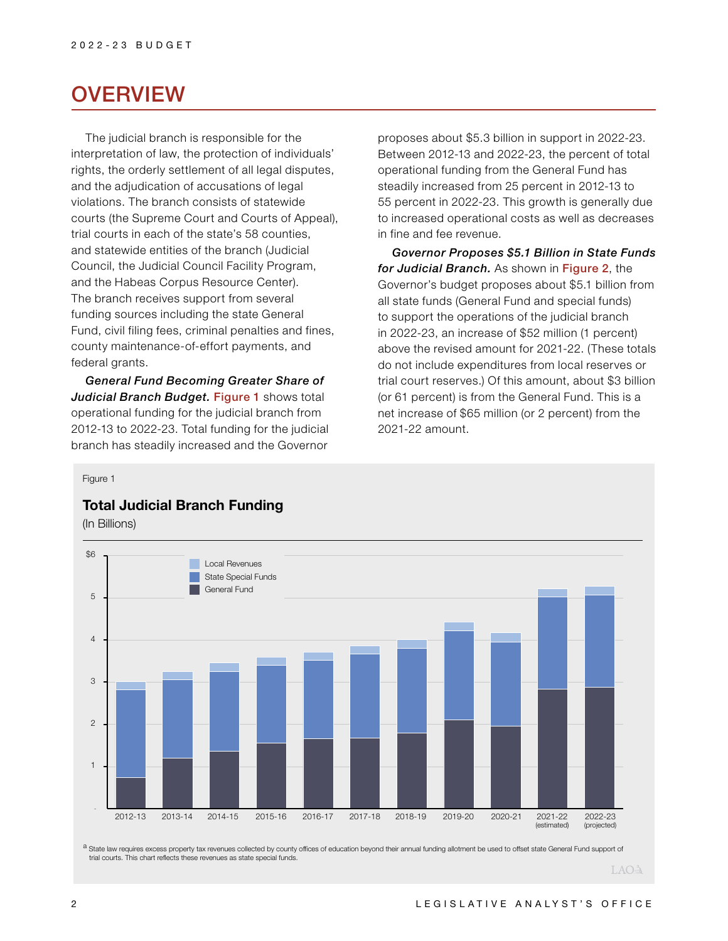## **OVERVIEW**

The judicial branch is responsible for the interpretation of law, the protection of individuals' rights, the orderly settlement of all legal disputes, and the adjudication of accusations of legal violations. The branch consists of statewide courts (the Supreme Court and Courts of Appeal), trial courts in each of the state's 58 counties, and statewide entities of the branch (Judicial Council, the Judicial Council Facility Program, and the Habeas Corpus Resource Center). The branch receives support from several funding sources including the state General Fund, civil filing fees, criminal penalties and fines, county maintenance-of-effort payments, and federal grants.

*General Fund Becoming Greater Share of Judicial Branch Budget.* Figure 1 shows total operational funding for the judicial branch from 2012-13 to 2022-23. Total funding for the judicial branch has steadily increased and the Governor

proposes about \$5.3 billion in support in 2022-23. Between 2012-13 and 2022-23, the percent of total operational funding from the General Fund has steadily increased from 25 percent in 2012-13 to 55 percent in 2022-23. This growth is generally due to increased operational costs as well as decreases in fine and fee revenue.

*Governor Proposes \$5.1 Billion in State Funds for Judicial Branch.* As shown in Figure 2, the Governor's budget proposes about \$5.1 billion from all state funds (General Fund and special funds) to support the operations of the judicial branch in 2022-23, an increase of \$52 million (1 percent) above the revised amount for 2021-22. (These totals do not include expenditures from local reserves or trial court reserves.) Of this amount, about \$3 billion (or 61 percent) is from the General Fund. This is a net increase of \$65 million (or 2 percent) from the 2021-22 amount.

#### Figure 1

## **Total Judicial Branch Funding**

(In Billions)



a State law requires excess property tax revenues collected by county offices of education beyond their annual funding allotment be used to offset state General Fund support of trial courts. This chart reflects these revenues as state special funds.

LAO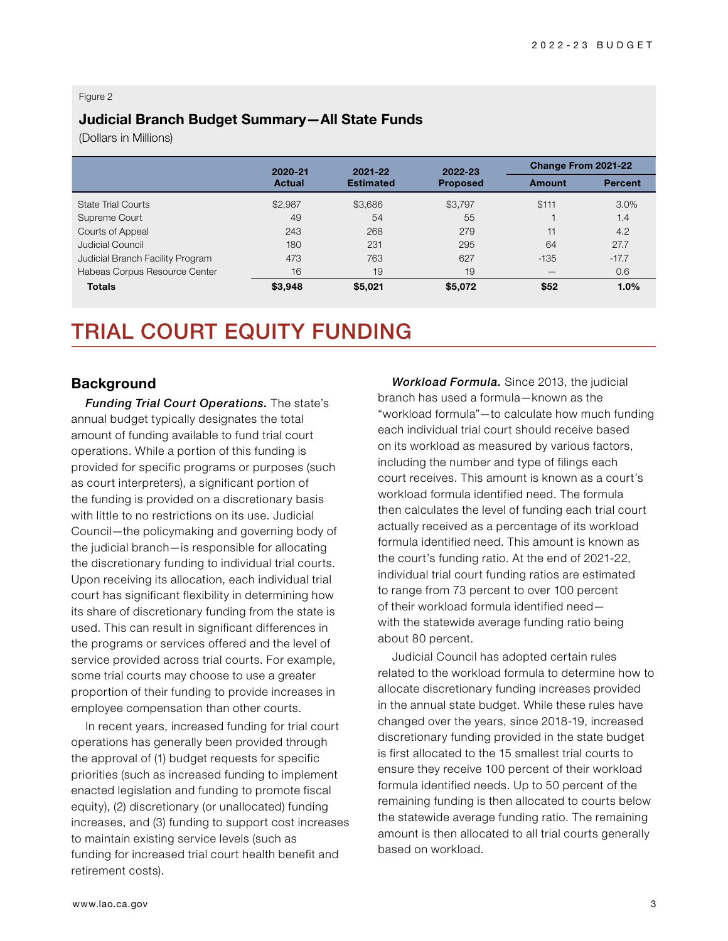#### Figure 2

### **Judicial Branch Budget Summary—All State Funds**

(Dollars in Millions)

|                                  | 2020-21       | 2021-22<br><b>Estimated</b> | 2022-23<br><b>Proposed</b> | Change From 2021-22 |                |
|----------------------------------|---------------|-----------------------------|----------------------------|---------------------|----------------|
|                                  | <b>Actual</b> |                             |                            | Amount              | <b>Percent</b> |
| <b>State Trial Courts</b>        | \$2.987       | \$3,686                     | \$3,797                    | \$111               | 3.0%           |
| Supreme Court                    | 49            | 54                          | 55                         |                     | 1.4            |
| Courts of Appeal                 | 243           | 268                         | 279                        | 11                  | 4.2            |
| Judicial Council                 | 180           | 231                         | 295                        | 64                  | 27.7           |
| Judicial Branch Facility Program | 473           | 763                         | 627                        | $-135$              | $-17.7$        |
| Habeas Corpus Resource Center    | 16            | 19                          | 19                         | _                   | 0.6            |
| <b>Totals</b>                    | \$3,948       | \$5.021                     | \$5.072                    | \$52                | 1.0%           |

# TRIAL COURT EQUITY FUNDING

#### **Background**

*Funding Trial Court Operations.* The state's annual budget typically designates the total amount of funding available to fund trial court operations. While a portion of this funding is provided for specific programs or purposes (such as court interpreters), a significant portion of the funding is provided on a discretionary basis with little to no restrictions on its use. Judicial Council—the policymaking and governing body of the judicial branch—is responsible for allocating the discretionary funding to individual trial courts. Upon receiving its allocation, each individual trial court has significant flexibility in determining how its share of discretionary funding from the state is used. This can result in significant differences in the programs or services offered and the level of service provided across trial courts. For example, some trial courts may choose to use a greater proportion of their funding to provide increases in employee compensation than other courts.

In recent years, increased funding for trial court operations has generally been provided through the approval of (1) budget requests for specific priorities (such as increased funding to implement enacted legislation and funding to promote fiscal equity), (2) discretionary (or unallocated) funding increases, and (3) funding to support cost increases to maintain existing service levels (such as funding for increased trial court health benefit and retirement costs).

*Workload Formula.* Since 2013, the judicial branch has used a formula—known as the "workload formula"—to calculate how much funding each individual trial court should receive based on its workload as measured by various factors, including the number and type of filings each court receives. This amount is known as a court's workload formula identified need. The formula then calculates the level of funding each trial court actually received as a percentage of its workload formula identified need. This amount is known as the court's funding ratio. At the end of 2021-22, individual trial court funding ratios are estimated to range from 73 percent to over 100 percent of their workload formula identified need with the statewide average funding ratio being about 80 percent.

Judicial Council has adopted certain rules related to the workload formula to determine how to allocate discretionary funding increases provided in the annual state budget. While these rules have changed over the years, since 2018-19, increased discretionary funding provided in the state budget is first allocated to the 15 smallest trial courts to ensure they receive 100 percent of their workload formula identified needs. Up to 50 percent of the remaining funding is then allocated to courts below the statewide average funding ratio. The remaining amount is then allocated to all trial courts generally based on workload.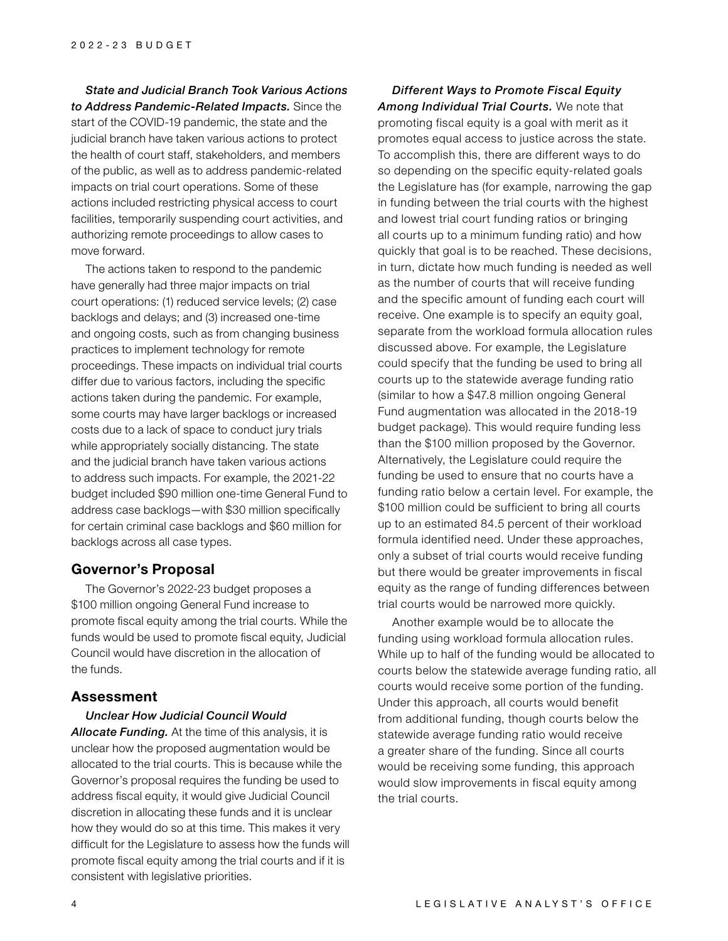*State and Judicial Branch Took Various Actions to Address Pandemic-Related Impacts.* Since the start of the COVID-19 pandemic, the state and the judicial branch have taken various actions to protect the health of court staff, stakeholders, and members of the public, as well as to address pandemic-related impacts on trial court operations. Some of these actions included restricting physical access to court facilities, temporarily suspending court activities, and authorizing remote proceedings to allow cases to move forward.

The actions taken to respond to the pandemic have generally had three major impacts on trial court operations: (1) reduced service levels; (2) case backlogs and delays; and (3) increased one-time and ongoing costs, such as from changing business practices to implement technology for remote proceedings. These impacts on individual trial courts differ due to various factors, including the specific actions taken during the pandemic. For example, some courts may have larger backlogs or increased costs due to a lack of space to conduct jury trials while appropriately socially distancing. The state and the judicial branch have taken various actions to address such impacts. For example, the 2021-22 budget included \$90 million one-time General Fund to address case backlogs—with \$30 million specifically for certain criminal case backlogs and \$60 million for backlogs across all case types.

#### **Governor's Proposal**

The Governor's 2022-23 budget proposes a \$100 million ongoing General Fund increase to promote fiscal equity among the trial courts. While the funds would be used to promote fiscal equity, Judicial Council would have discretion in the allocation of the funds.

#### **Assessment**

#### *Unclear How Judicial Council Would*

*Allocate Funding.* At the time of this analysis, it is unclear how the proposed augmentation would be allocated to the trial courts. This is because while the Governor's proposal requires the funding be used to address fiscal equity, it would give Judicial Council discretion in allocating these funds and it is unclear how they would do so at this time. This makes it very difficult for the Legislature to assess how the funds will promote fiscal equity among the trial courts and if it is consistent with legislative priorities.

*Different Ways to Promote Fiscal Equity Among Individual Trial Courts.* We note that promoting fiscal equity is a goal with merit as it promotes equal access to justice across the state. To accomplish this, there are different ways to do so depending on the specific equity-related goals the Legislature has (for example, narrowing the gap in funding between the trial courts with the highest and lowest trial court funding ratios or bringing all courts up to a minimum funding ratio) and how quickly that goal is to be reached. These decisions, in turn, dictate how much funding is needed as well as the number of courts that will receive funding and the specific amount of funding each court will receive. One example is to specify an equity goal, separate from the workload formula allocation rules discussed above. For example, the Legislature could specify that the funding be used to bring all courts up to the statewide average funding ratio (similar to how a \$47.8 million ongoing General Fund augmentation was allocated in the 2018-19 budget package). This would require funding less than the \$100 million proposed by the Governor. Alternatively, the Legislature could require the funding be used to ensure that no courts have a funding ratio below a certain level. For example, the \$100 million could be sufficient to bring all courts up to an estimated 84.5 percent of their workload formula identified need. Under these approaches, only a subset of trial courts would receive funding but there would be greater improvements in fiscal equity as the range of funding differences between trial courts would be narrowed more quickly.

Another example would be to allocate the funding using workload formula allocation rules. While up to half of the funding would be allocated to courts below the statewide average funding ratio, all courts would receive some portion of the funding. Under this approach, all courts would benefit from additional funding, though courts below the statewide average funding ratio would receive a greater share of the funding. Since all courts would be receiving some funding, this approach would slow improvements in fiscal equity among the trial courts.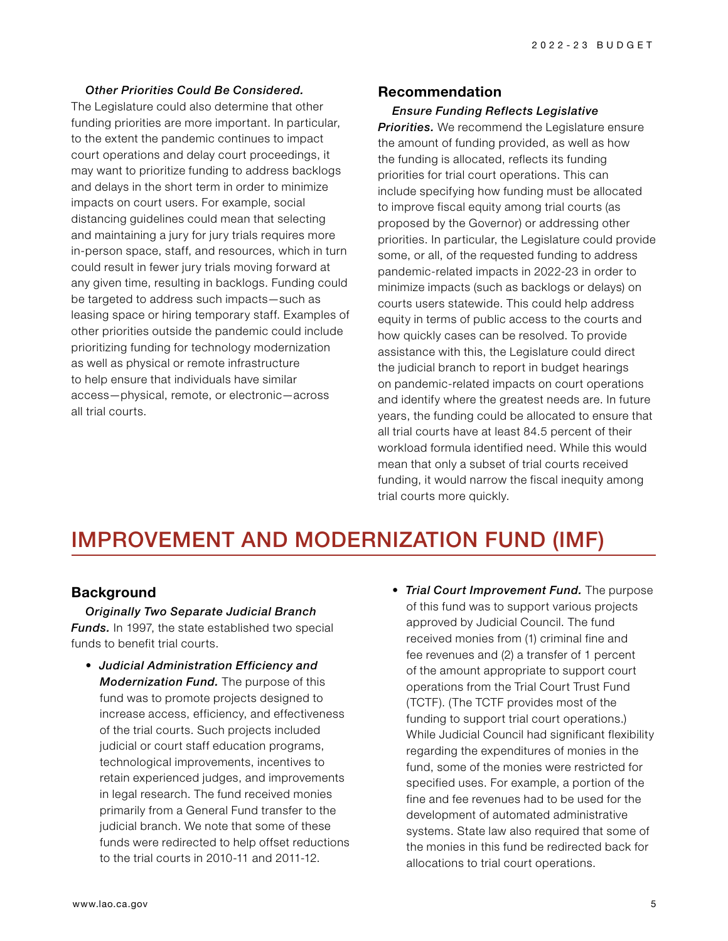#### *Other Priorities Could Be Considered.*

The Legislature could also determine that other funding priorities are more important. In particular, to the extent the pandemic continues to impact court operations and delay court proceedings, it may want to prioritize funding to address backlogs and delays in the short term in order to minimize impacts on court users. For example, social distancing guidelines could mean that selecting and maintaining a jury for jury trials requires more in-person space, staff, and resources, which in turn could result in fewer jury trials moving forward at any given time, resulting in backlogs. Funding could be targeted to address such impacts—such as leasing space or hiring temporary staff. Examples of other priorities outside the pandemic could include prioritizing funding for technology modernization as well as physical or remote infrastructure to help ensure that individuals have similar access—physical, remote, or electronic—across all trial courts.

#### **Recommendation**

#### *Ensure Funding Reflects Legislative*

*Priorities.* We recommend the Legislature ensure the amount of funding provided, as well as how the funding is allocated, reflects its funding priorities for trial court operations. This can include specifying how funding must be allocated to improve fiscal equity among trial courts (as proposed by the Governor) or addressing other priorities. In particular, the Legislature could provide some, or all, of the requested funding to address pandemic-related impacts in 2022-23 in order to minimize impacts (such as backlogs or delays) on courts users statewide. This could help address equity in terms of public access to the courts and how quickly cases can be resolved. To provide assistance with this, the Legislature could direct the judicial branch to report in budget hearings on pandemic-related impacts on court operations and identify where the greatest needs are. In future years, the funding could be allocated to ensure that all trial courts have at least 84.5 percent of their workload formula identified need. While this would mean that only a subset of trial courts received funding, it would narrow the fiscal inequity among trial courts more quickly.

## IMPROVEMENT AND MODERNIZATION FUND (IMF)

#### **Background**

*Originally Two Separate Judicial Branch Funds.* In 1997, the state established two special funds to benefit trial courts.

- *Judicial Administration Efficiency and Modernization Fund.* The purpose of this fund was to promote projects designed to increase access, efficiency, and effectiveness of the trial courts. Such projects included judicial or court staff education programs, technological improvements, incentives to retain experienced judges, and improvements in legal research. The fund received monies primarily from a General Fund transfer to the judicial branch. We note that some of these funds were redirected to help offset reductions to the trial courts in 2010-11 and 2011-12.
- *Trial Court Improvement Fund.* The purpose of this fund was to support various projects approved by Judicial Council. The fund received monies from (1) criminal fine and fee revenues and (2) a transfer of 1 percent of the amount appropriate to support court operations from the Trial Court Trust Fund (TCTF). (The TCTF provides most of the funding to support trial court operations.) While Judicial Council had significant flexibility regarding the expenditures of monies in the fund, some of the monies were restricted for specified uses. For example, a portion of the fine and fee revenues had to be used for the development of automated administrative systems. State law also required that some of the monies in this fund be redirected back for allocations to trial court operations.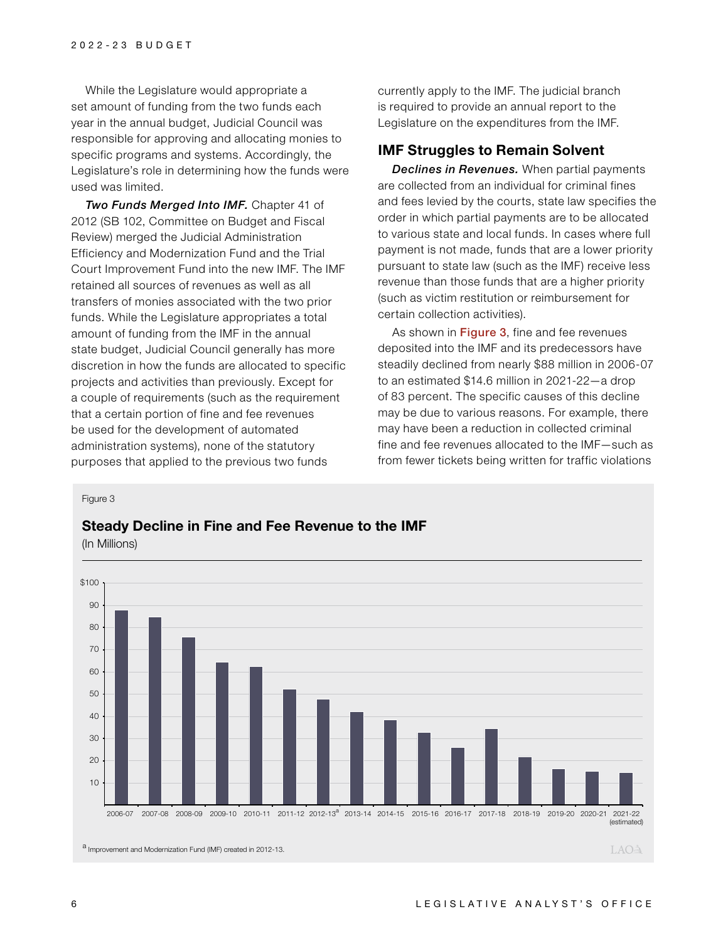While the Legislature would appropriate a set amount of funding from the two funds each year in the annual budget, Judicial Council was responsible for approving and allocating monies to specific programs and systems. Accordingly, the Legislature's role in determining how the funds were used was limited.

*Two Funds Merged Into IMF.* Chapter 41 of 2012 (SB 102, Committee on Budget and Fiscal Review) merged the Judicial Administration Efficiency and Modernization Fund and the Trial Court Improvement Fund into the new IMF. The IMF retained all sources of revenues as well as all transfers of monies associated with the two prior funds. While the Legislature appropriates a total amount of funding from the IMF in the annual state budget, Judicial Council generally has more discretion in how the funds are allocated to specific projects and activities than previously. Except for a couple of requirements (such as the requirement that a certain portion of fine and fee revenues be used for the development of automated administration systems), none of the statutory purposes that applied to the previous two funds

currently apply to the IMF. The judicial branch is required to provide an annual report to the Legislature on the expenditures from the IMF.

## **IMF Struggles to Remain Solvent**

*Declines in Revenues.* When partial payments are collected from an individual for criminal fines and fees levied by the courts, state law specifies the order in which partial payments are to be allocated to various state and local funds. In cases where full payment is not made, funds that are a lower priority pursuant to state law (such as the IMF) receive less revenue than those funds that are a higher priority (such as victim restitution or reimbursement for certain collection activities).

As shown in Figure 3, fine and fee revenues deposited into the IMF and its predecessors have steadily declined from nearly \$88 million in 2006-07 to an estimated \$14.6 million in 2021-22—a drop of 83 percent. The specific causes of this decline may be due to various reasons. For example, there may have been a reduction in collected criminal fine and fee revenues allocated to the IMF—such as from fewer tickets being written for traffic violations

#### Figure 3

#### **Steady Decline in Fine and Fee Revenue to the IMF**

(In Millions)

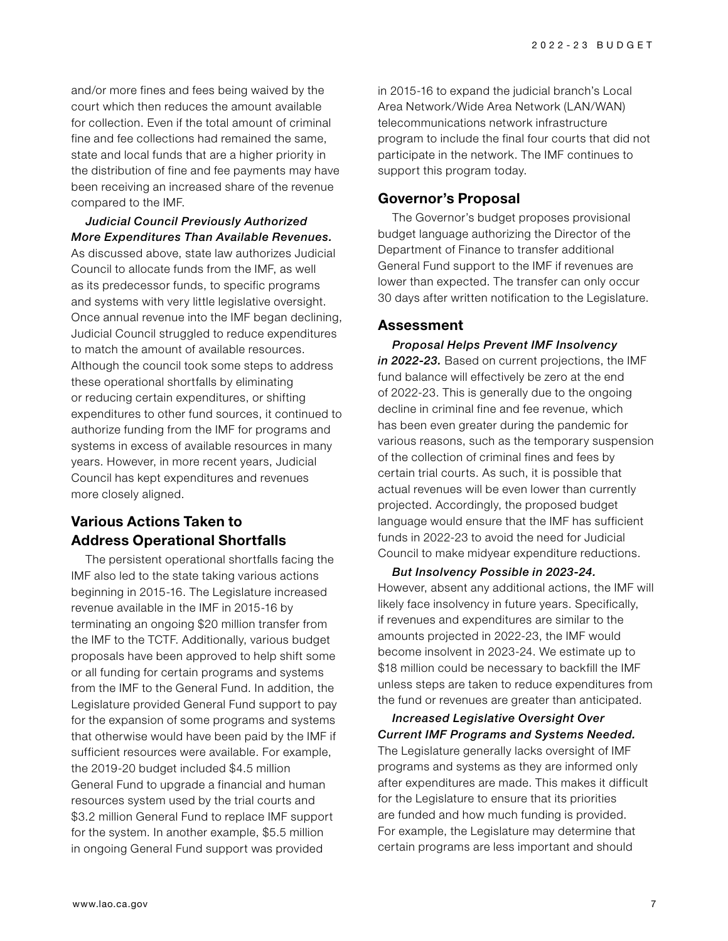and/or more fines and fees being waived by the court which then reduces the amount available for collection. Even if the total amount of criminal fine and fee collections had remained the same, state and local funds that are a higher priority in the distribution of fine and fee payments may have been receiving an increased share of the revenue compared to the IMF.

*Judicial Council Previously Authorized More Expenditures Than Available Revenues.*  As discussed above, state law authorizes Judicial Council to allocate funds from the IMF, as well as its predecessor funds, to specific programs and systems with very little legislative oversight. Once annual revenue into the IMF began declining, Judicial Council struggled to reduce expenditures to match the amount of available resources. Although the council took some steps to address these operational shortfalls by eliminating or reducing certain expenditures, or shifting expenditures to other fund sources, it continued to authorize funding from the IMF for programs and systems in excess of available resources in many years. However, in more recent years, Judicial Council has kept expenditures and revenues more closely aligned.

## **Various Actions Taken to Address Operational Shortfalls**

The persistent operational shortfalls facing the IMF also led to the state taking various actions beginning in 2015-16. The Legislature increased revenue available in the IMF in 2015-16 by terminating an ongoing \$20 million transfer from the IMF to the TCTF. Additionally, various budget proposals have been approved to help shift some or all funding for certain programs and systems from the IMF to the General Fund. In addition, the Legislature provided General Fund support to pay for the expansion of some programs and systems that otherwise would have been paid by the IMF if sufficient resources were available. For example, the 2019-20 budget included \$4.5 million General Fund to upgrade a financial and human resources system used by the trial courts and \$3.2 million General Fund to replace IMF support for the system. In another example, \$5.5 million in ongoing General Fund support was provided

in 2015-16 to expand the judicial branch's Local Area Network/Wide Area Network (LAN/WAN) telecommunications network infrastructure program to include the final four courts that did not participate in the network. The IMF continues to support this program today.

### **Governor's Proposal**

The Governor's budget proposes provisional budget language authorizing the Director of the Department of Finance to transfer additional General Fund support to the IMF if revenues are lower than expected. The transfer can only occur 30 days after written notification to the Legislature.

#### **Assessment**

*Proposal Helps Prevent IMF Insolvency in 2022-23.* Based on current projections, the IMF fund balance will effectively be zero at the end of 2022-23. This is generally due to the ongoing decline in criminal fine and fee revenue, which has been even greater during the pandemic for various reasons, such as the temporary suspension of the collection of criminal fines and fees by certain trial courts. As such, it is possible that actual revenues will be even lower than currently projected. Accordingly, the proposed budget language would ensure that the IMF has sufficient funds in 2022-23 to avoid the need for Judicial Council to make midyear expenditure reductions.

*But Insolvency Possible in 2023-24.*  However, absent any additional actions, the IMF will likely face insolvency in future years. Specifically, if revenues and expenditures are similar to the amounts projected in 2022-23, the IMF would become insolvent in 2023-24. We estimate up to \$18 million could be necessary to backfill the IMF unless steps are taken to reduce expenditures from the fund or revenues are greater than anticipated.

*Current IMF Programs and Systems Needed.* The Legislature generally lacks oversight of IMF programs and systems as they are informed only after expenditures are made. This makes it difficult for the Legislature to ensure that its priorities are funded and how much funding is provided. For example, the Legislature may determine that certain programs are less important and should

*Increased Legislative Oversight Over*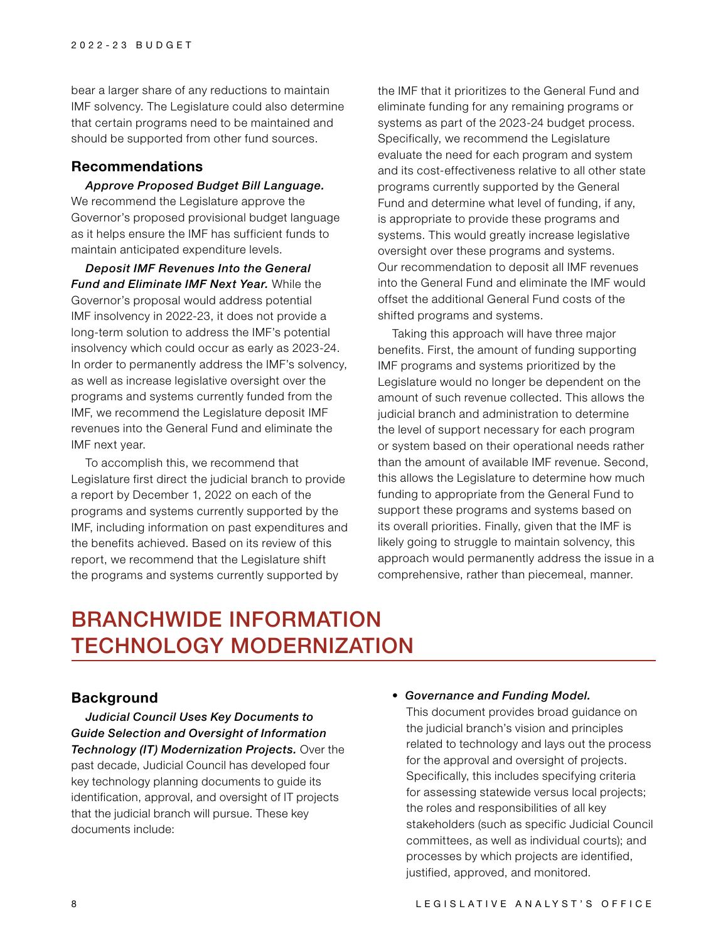bear a larger share of any reductions to maintain IMF solvency. The Legislature could also determine that certain programs need to be maintained and should be supported from other fund sources.

### **Recommendations**

*Approve Proposed Budget Bill Language.* We recommend the Legislature approve the Governor's proposed provisional budget language as it helps ensure the IMF has sufficient funds to maintain anticipated expenditure levels.

*Deposit IMF Revenues Into the General Fund and Eliminate IMF Next Year.* While the Governor's proposal would address potential IMF insolvency in 2022-23, it does not provide a long-term solution to address the IMF's potential insolvency which could occur as early as 2023-24. In order to permanently address the IMF's solvency, as well as increase legislative oversight over the programs and systems currently funded from the IMF, we recommend the Legislature deposit IMF revenues into the General Fund and eliminate the IMF next year.

To accomplish this, we recommend that Legislature first direct the judicial branch to provide a report by December 1, 2022 on each of the programs and systems currently supported by the IMF, including information on past expenditures and the benefits achieved. Based on its review of this report, we recommend that the Legislature shift the programs and systems currently supported by

the IMF that it prioritizes to the General Fund and eliminate funding for any remaining programs or systems as part of the 2023-24 budget process. Specifically, we recommend the Legislature evaluate the need for each program and system and its cost-effectiveness relative to all other state programs currently supported by the General Fund and determine what level of funding, if any, is appropriate to provide these programs and systems. This would greatly increase legislative oversight over these programs and systems. Our recommendation to deposit all IMF revenues into the General Fund and eliminate the IMF would offset the additional General Fund costs of the shifted programs and systems.

Taking this approach will have three major benefits. First, the amount of funding supporting IMF programs and systems prioritized by the Legislature would no longer be dependent on the amount of such revenue collected. This allows the judicial branch and administration to determine the level of support necessary for each program or system based on their operational needs rather than the amount of available IMF revenue. Second, this allows the Legislature to determine how much funding to appropriate from the General Fund to support these programs and systems based on its overall priorities. Finally, given that the IMF is likely going to struggle to maintain solvency, this approach would permanently address the issue in a comprehensive, rather than piecemeal, manner.

# BRANCHWIDE INFORMATION TECHNOLOGY MODERNIZATION

## **Background**

*Judicial Council Uses Key Documents to Guide Selection and Oversight of Information Technology (IT) Modernization Projects.* Over the past decade, Judicial Council has developed four key technology planning documents to guide its identification, approval, and oversight of IT projects that the judicial branch will pursue. These key documents include:

#### • *Governance and Funding Model.*

This document provides broad guidance on the judicial branch's vision and principles related to technology and lays out the process for the approval and oversight of projects. Specifically, this includes specifying criteria for assessing statewide versus local projects; the roles and responsibilities of all key stakeholders (such as specific Judicial Council committees, as well as individual courts); and processes by which projects are identified, justified, approved, and monitored.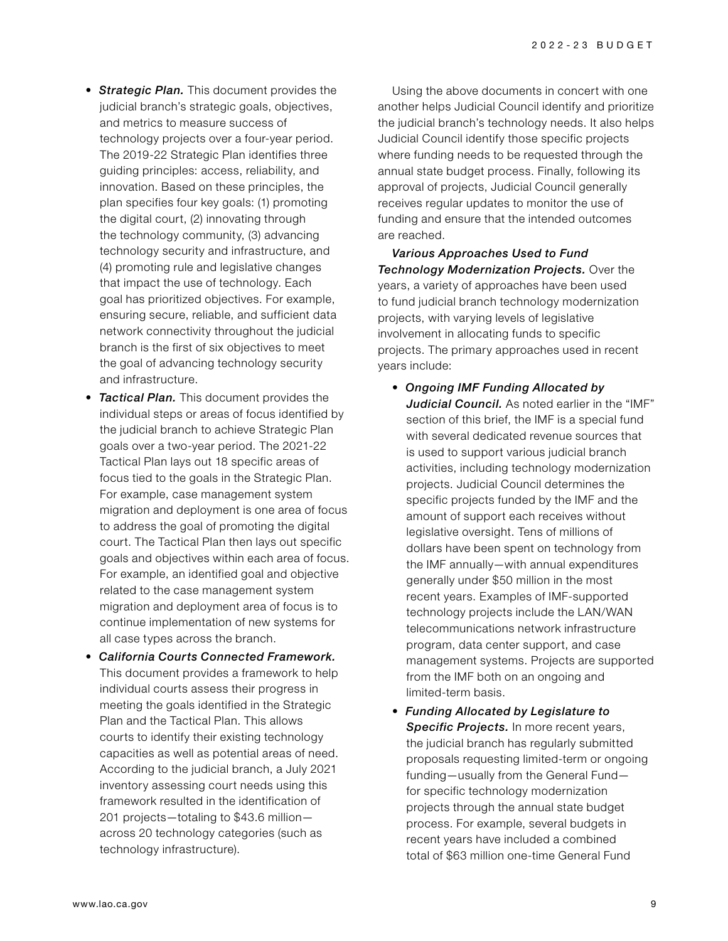- *Strategic Plan.* This document provides the judicial branch's strategic goals, objectives, and metrics to measure success of technology projects over a four-year period. The 2019-22 Strategic Plan identifies three guiding principles: access, reliability, and innovation. Based on these principles, the plan specifies four key goals: (1) promoting the digital court, (2) innovating through the technology community, (3) advancing technology security and infrastructure, and (4) promoting rule and legislative changes that impact the use of technology. Each goal has prioritized objectives. For example, ensuring secure, reliable, and sufficient data network connectivity throughout the judicial branch is the first of six objectives to meet the goal of advancing technology security and infrastructure.
- *Tactical Plan.* This document provides the individual steps or areas of focus identified by the judicial branch to achieve Strategic Plan goals over a two-year period. The 2021-22 Tactical Plan lays out 18 specific areas of focus tied to the goals in the Strategic Plan. For example, case management system migration and deployment is one area of focus to address the goal of promoting the digital court. The Tactical Plan then lays out specific goals and objectives within each area of focus. For example, an identified goal and objective related to the case management system migration and deployment area of focus is to continue implementation of new systems for all case types across the branch.
- *California Courts Connected Framework.* This document provides a framework to help individual courts assess their progress in meeting the goals identified in the Strategic Plan and the Tactical Plan. This allows courts to identify their existing technology capacities as well as potential areas of need. According to the judicial branch, a July 2021 inventory assessing court needs using this framework resulted in the identification of 201 projects—totaling to \$43.6 million across 20 technology categories (such as technology infrastructure).

Using the above documents in concert with one another helps Judicial Council identify and prioritize the judicial branch's technology needs. It also helps Judicial Council identify those specific projects where funding needs to be requested through the annual state budget process. Finally, following its approval of projects, Judicial Council generally receives regular updates to monitor the use of funding and ensure that the intended outcomes are reached.

*Various Approaches Used to Fund Technology Modernization Projects.* Over the years, a variety of approaches have been used to fund judicial branch technology modernization projects, with varying levels of legislative involvement in allocating funds to specific projects. The primary approaches used in recent years include:

- *Ongoing IMF Funding Allocated by Judicial Council.* As noted earlier in the "IMF" section of this brief, the IMF is a special fund with several dedicated revenue sources that is used to support various judicial branch activities, including technology modernization projects. Judicial Council determines the specific projects funded by the IMF and the amount of support each receives without legislative oversight. Tens of millions of dollars have been spent on technology from the IMF annually—with annual expenditures generally under \$50 million in the most recent years. Examples of IMF-supported technology projects include the LAN/WAN telecommunications network infrastructure program, data center support, and case management systems. Projects are supported from the IMF both on an ongoing and limited-term basis.
- *Funding Allocated by Legislature to*  Specific Projects. In more recent years, the judicial branch has regularly submitted proposals requesting limited-term or ongoing funding—usually from the General Fund for specific technology modernization projects through the annual state budget process. For example, several budgets in recent years have included a combined total of \$63 million one-time General Fund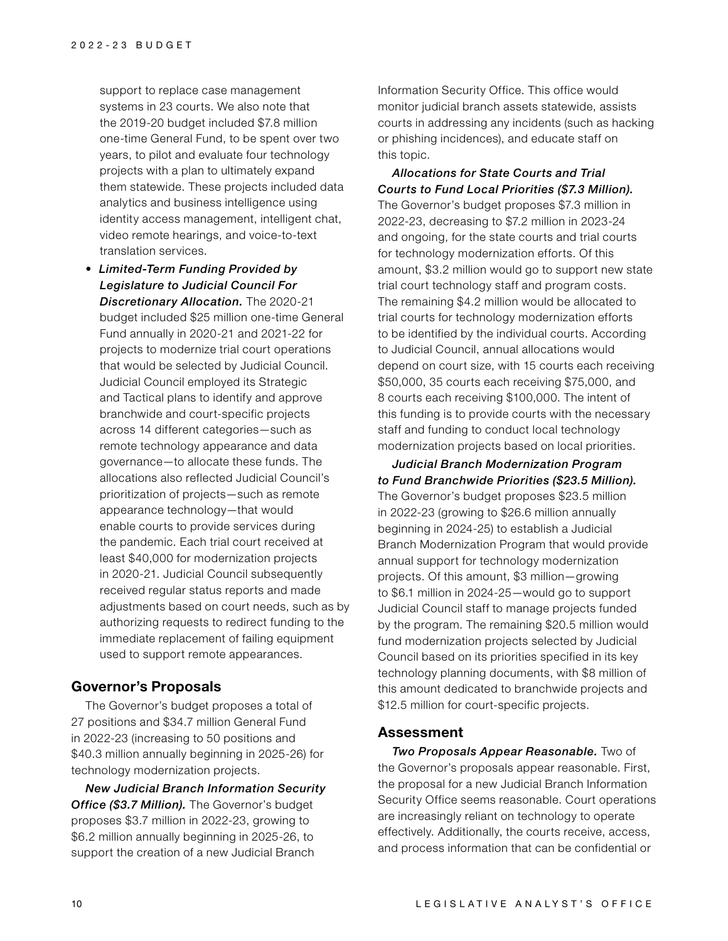support to replace case management systems in 23 courts. We also note that the 2019-20 budget included \$7.8 million one-time General Fund, to be spent over two years, to pilot and evaluate four technology projects with a plan to ultimately expand them statewide. These projects included data analytics and business intelligence using identity access management, intelligent chat, video remote hearings, and voice-to-text translation services.

• *Limited-Term Funding Provided by Legislature to Judicial Council For Discretionary Allocation.* The 2020-21 budget included \$25 million one-time General Fund annually in 2020-21 and 2021-22 for projects to modernize trial court operations that would be selected by Judicial Council. Judicial Council employed its Strategic and Tactical plans to identify and approve branchwide and court-specific projects across 14 different categories—such as remote technology appearance and data governance—to allocate these funds. The allocations also reflected Judicial Council's prioritization of projects—such as remote appearance technology—that would enable courts to provide services during the pandemic. Each trial court received at least \$40,000 for modernization projects in 2020-21. Judicial Council subsequently received regular status reports and made adjustments based on court needs, such as by authorizing requests to redirect funding to the immediate replacement of failing equipment used to support remote appearances.

## **Governor's Proposals**

The Governor's budget proposes a total of 27 positions and \$34.7 million General Fund in 2022-23 (increasing to 50 positions and \$40.3 million annually beginning in 2025-26) for technology modernization projects.

*New Judicial Branch Information Security Office (\$3.7 Million).* The Governor's budget proposes \$3.7 million in 2022-23, growing to \$6.2 million annually beginning in 2025-26, to support the creation of a new Judicial Branch

Information Security Office. This office would monitor judicial branch assets statewide, assists courts in addressing any incidents (such as hacking or phishing incidences), and educate staff on this topic.

*Allocations for State Courts and Trial Courts to Fund Local Priorities (\$7.3 Million).* The Governor's budget proposes \$7.3 million in 2022-23, decreasing to \$7.2 million in 2023-24 and ongoing, for the state courts and trial courts for technology modernization efforts. Of this amount, \$3.2 million would go to support new state trial court technology staff and program costs. The remaining \$4.2 million would be allocated to trial courts for technology modernization efforts to be identified by the individual courts. According to Judicial Council, annual allocations would depend on court size, with 15 courts each receiving \$50,000, 35 courts each receiving \$75,000, and 8 courts each receiving \$100,000. The intent of this funding is to provide courts with the necessary staff and funding to conduct local technology modernization projects based on local priorities.

*Judicial Branch Modernization Program to Fund Branchwide Priorities (\$23.5 Million).* The Governor's budget proposes \$23.5 million in 2022-23 (growing to \$26.6 million annually beginning in 2024-25) to establish a Judicial Branch Modernization Program that would provide annual support for technology modernization projects. Of this amount, \$3 million—growing to \$6.1 million in 2024-25—would go to support Judicial Council staff to manage projects funded by the program. The remaining \$20.5 million would fund modernization projects selected by Judicial Council based on its priorities specified in its key technology planning documents, with \$8 million of this amount dedicated to branchwide projects and \$12.5 million for court-specific projects.

#### **Assessment**

*Two Proposals Appear Reasonable.* Two of the Governor's proposals appear reasonable. First, the proposal for a new Judicial Branch Information Security Office seems reasonable. Court operations are increasingly reliant on technology to operate effectively. Additionally, the courts receive, access, and process information that can be confidential or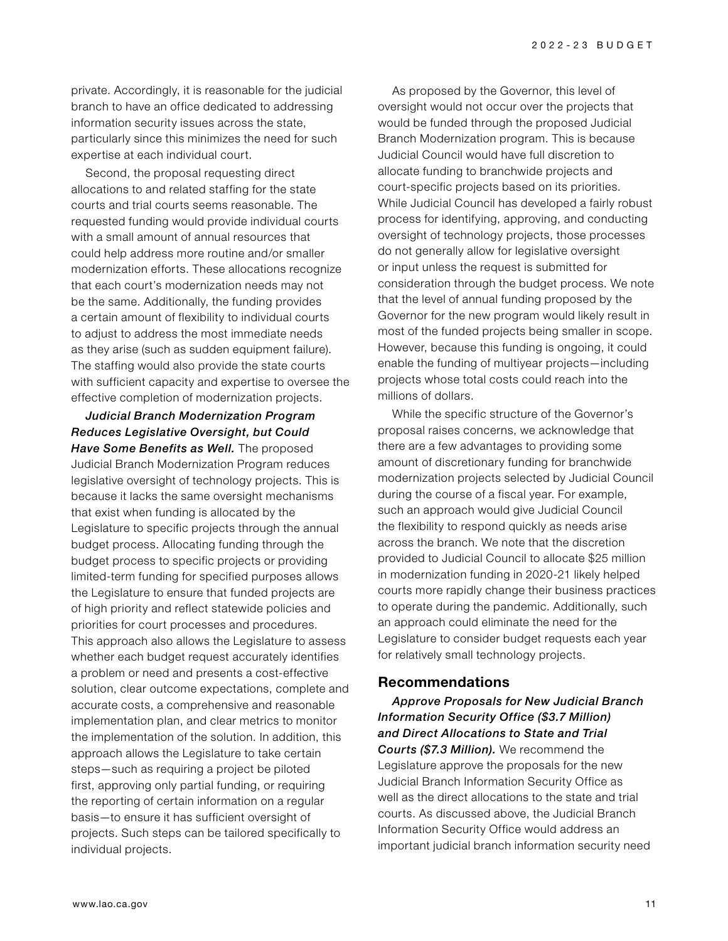private. Accordingly, it is reasonable for the judicial branch to have an office dedicated to addressing information security issues across the state, particularly since this minimizes the need for such expertise at each individual court.

Second, the proposal requesting direct allocations to and related staffing for the state courts and trial courts seems reasonable. The requested funding would provide individual courts with a small amount of annual resources that could help address more routine and/or smaller modernization efforts. These allocations recognize that each court's modernization needs may not be the same. Additionally, the funding provides a certain amount of flexibility to individual courts to adjust to address the most immediate needs as they arise (such as sudden equipment failure). The staffing would also provide the state courts with sufficient capacity and expertise to oversee the effective completion of modernization projects.

*Judicial Branch Modernization Program Reduces Legislative Oversight, but Could Have Some Benefits as Well.* The proposed Judicial Branch Modernization Program reduces legislative oversight of technology projects. This is because it lacks the same oversight mechanisms that exist when funding is allocated by the Legislature to specific projects through the annual budget process. Allocating funding through the budget process to specific projects or providing limited-term funding for specified purposes allows the Legislature to ensure that funded projects are of high priority and reflect statewide policies and priorities for court processes and procedures. This approach also allows the Legislature to assess whether each budget request accurately identifies a problem or need and presents a cost-effective solution, clear outcome expectations, complete and accurate costs, a comprehensive and reasonable implementation plan, and clear metrics to monitor the implementation of the solution. In addition, this approach allows the Legislature to take certain steps—such as requiring a project be piloted first, approving only partial funding, or requiring the reporting of certain information on a regular basis—to ensure it has sufficient oversight of projects. Such steps can be tailored specifically to individual projects.

As proposed by the Governor, this level of oversight would not occur over the projects that would be funded through the proposed Judicial Branch Modernization program. This is because Judicial Council would have full discretion to allocate funding to branchwide projects and court-specific projects based on its priorities. While Judicial Council has developed a fairly robust process for identifying, approving, and conducting oversight of technology projects, those processes do not generally allow for legislative oversight or input unless the request is submitted for consideration through the budget process. We note that the level of annual funding proposed by the Governor for the new program would likely result in most of the funded projects being smaller in scope. However, because this funding is ongoing, it could enable the funding of multiyear projects—including projects whose total costs could reach into the millions of dollars.

While the specific structure of the Governor's proposal raises concerns, we acknowledge that there are a few advantages to providing some amount of discretionary funding for branchwide modernization projects selected by Judicial Council during the course of a fiscal year. For example, such an approach would give Judicial Council the flexibility to respond quickly as needs arise across the branch. We note that the discretion provided to Judicial Council to allocate \$25 million in modernization funding in 2020-21 likely helped courts more rapidly change their business practices to operate during the pandemic. Additionally, such an approach could eliminate the need for the Legislature to consider budget requests each year for relatively small technology projects.

#### **Recommendations**

*Approve Proposals for New Judicial Branch Information Security Office (\$3.7 Million) and Direct Allocations to State and Trial Courts (\$7.3 Million).* We recommend the Legislature approve the proposals for the new Judicial Branch Information Security Office as well as the direct allocations to the state and trial courts. As discussed above, the Judicial Branch Information Security Office would address an important judicial branch information security need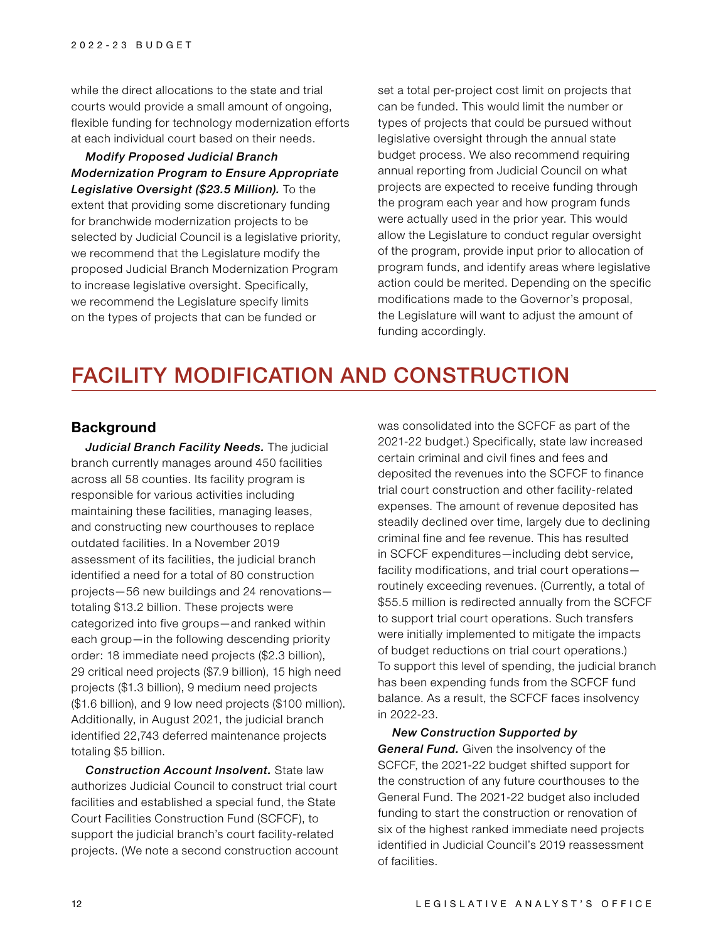while the direct allocations to the state and trial courts would provide a small amount of ongoing, flexible funding for technology modernization efforts at each individual court based on their needs.

*Modify Proposed Judicial Branch Modernization Program to Ensure Appropriate Legislative Oversight (\$23.5 Million).* To the extent that providing some discretionary funding for branchwide modernization projects to be selected by Judicial Council is a legislative priority, we recommend that the Legislature modify the proposed Judicial Branch Modernization Program to increase legislative oversight. Specifically, we recommend the Legislature specify limits on the types of projects that can be funded or

set a total per-project cost limit on projects that can be funded. This would limit the number or types of projects that could be pursued without legislative oversight through the annual state budget process. We also recommend requiring annual reporting from Judicial Council on what projects are expected to receive funding through the program each year and how program funds were actually used in the prior year. This would allow the Legislature to conduct regular oversight of the program, provide input prior to allocation of program funds, and identify areas where legislative action could be merited. Depending on the specific modifications made to the Governor's proposal, the Legislature will want to adjust the amount of funding accordingly.

# FACILITY MODIFICATION AND CONSTRUCTION

### **Background**

*Judicial Branch Facility Needs.* The judicial branch currently manages around 450 facilities across all 58 counties. Its facility program is responsible for various activities including maintaining these facilities, managing leases, and constructing new courthouses to replace outdated facilities. In a November 2019 assessment of its facilities, the judicial branch identified a need for a total of 80 construction projects—56 new buildings and 24 renovations totaling \$13.2 billion. These projects were categorized into five groups—and ranked within each group—in the following descending priority order: 18 immediate need projects (\$2.3 billion), 29 critical need projects (\$7.9 billion), 15 high need projects (\$1.3 billion), 9 medium need projects (\$1.6 billion), and 9 low need projects (\$100 million). Additionally, in August 2021, the judicial branch identified 22,743 deferred maintenance projects totaling \$5 billion.

*Construction Account Insolvent.* State law authorizes Judicial Council to construct trial court facilities and established a special fund, the State Court Facilities Construction Fund (SCFCF), to support the judicial branch's court facility-related projects. (We note a second construction account

was consolidated into the SCFCF as part of the 2021-22 budget.) Specifically, state law increased certain criminal and civil fines and fees and deposited the revenues into the SCFCF to finance trial court construction and other facility-related expenses. The amount of revenue deposited has steadily declined over time, largely due to declining criminal fine and fee revenue. This has resulted in SCFCF expenditures—including debt service, facility modifications, and trial court operations routinely exceeding revenues. (Currently, a total of \$55.5 million is redirected annually from the SCFCF to support trial court operations. Such transfers were initially implemented to mitigate the impacts of budget reductions on trial court operations.) To support this level of spending, the judicial branch has been expending funds from the SCFCF fund balance. As a result, the SCFCF faces insolvency in 2022-23.

*New Construction Supported by General Fund.* Given the insolvency of the SCFCF, the 2021-22 budget shifted support for the construction of any future courthouses to the General Fund. The 2021-22 budget also included funding to start the construction or renovation of six of the highest ranked immediate need projects identified in Judicial Council's 2019 reassessment of facilities.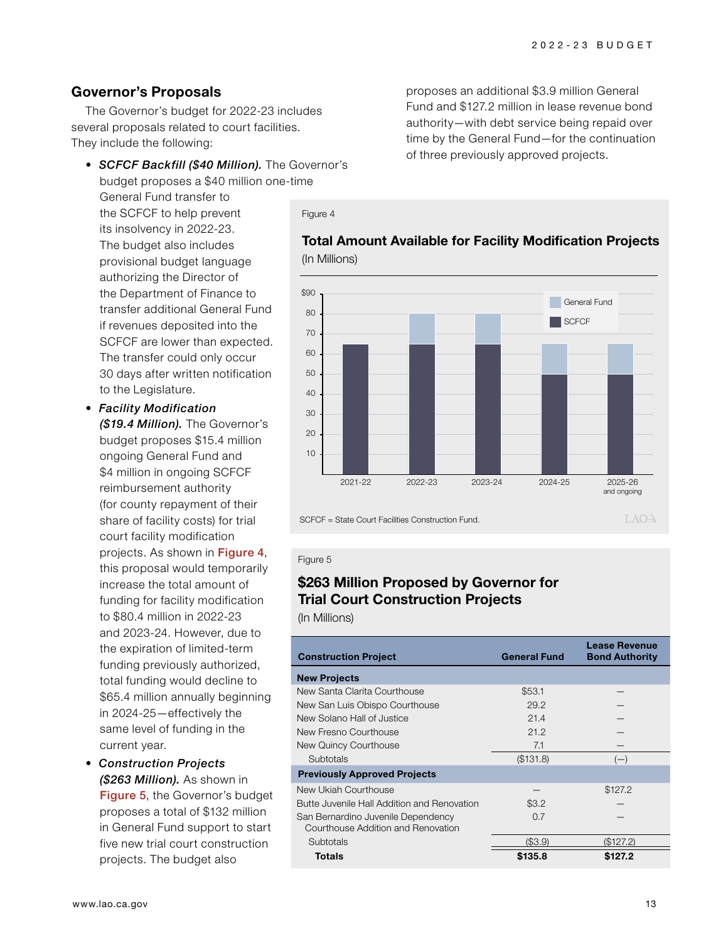## **Governor's Proposals**

The Governor's budget for 2022-23 includes several proposals related to court facilities. They include the following:

- *SCFCF Backfill (\$40 Million).* The Governor's budget proposes a \$40 million one-time General Fund transfer to the SCFCF to help prevent its insolvency in 2022-23. The budget also includes provisional budget language authorizing the Director of the Department of Finance to transfer additional General Fund if revenues deposited into the SCFCF are lower than expected. The transfer could only occur 30 days after written notification to the Legislature. Figure 4 **Total Amount Available for Facility Modification Projects** 40 50 60 70 80 \$90
- *Facility Modification (\$19.4 Million).* The Governor's budget proposes \$15.4 million ongoing General Fund and \$4 million in ongoing SCFCF reimbursement authority (for county repayment of their share of facility costs) for trial court facility modification projects. As shown in Figure 4, this proposal would temporarily increase the total amount of funding for facility modification to \$80.4 million in 2022-23 and 2023-24. However, due to the expiration of limited-term funding previously authorized, total funding would decline to \$65.4 million annually beginning in 2024-25—effectively the same level of funding in the current year.
- *Construction Projects (\$263 Million).* As shown in Figure 5, the Governor's budget proposes a total of \$132 million in General Fund support to start five new trial court construction projects. The budget also

proposes an additional \$3.9 million General Fund and \$127.2 million in lease revenue bond authority—with debt service being repaid over time by the General Fund—for the continuation of three previously approved projects.



#### SCFCF = State Court Facilities Construction Fund.

#### Figure 5

## **\$263 Million Proposed by Governor for Trial Court Construction Projects**

(In Millions)

| <b>Construction Project</b>                 | <b>General Fund</b> | Lease Revenue<br><b>Bond Authority</b> |
|---------------------------------------------|---------------------|----------------------------------------|
| <b>New Projects</b>                         |                     |                                        |
| New Santa Clarita Courthouse                | \$53.1              |                                        |
| New San Luis Obispo Courthouse              | 29.2                |                                        |
| New Solano Hall of Justice                  | 21.4                |                                        |
| New Fresno Courthouse                       | 21.2                |                                        |
| New Quincy Courthouse                       | 7.1                 |                                        |
| Subtotals                                   | (\$131.8)           | $(-)$                                  |
| <b>Previously Approved Projects</b>         |                     |                                        |
| New Ukiah Courthouse                        |                     | \$127.2                                |
| Butte Juvenile Hall Addition and Renovation | \$3.2               |                                        |
| San Bernardino Juvenile Dependency          | 0.7                 |                                        |
| Courthouse Addition and Renovation          |                     |                                        |
| Subtotals                                   | (S3.9)              | (\$127.2)                              |
| Totals                                      | \$135.8             | \$127.2                                |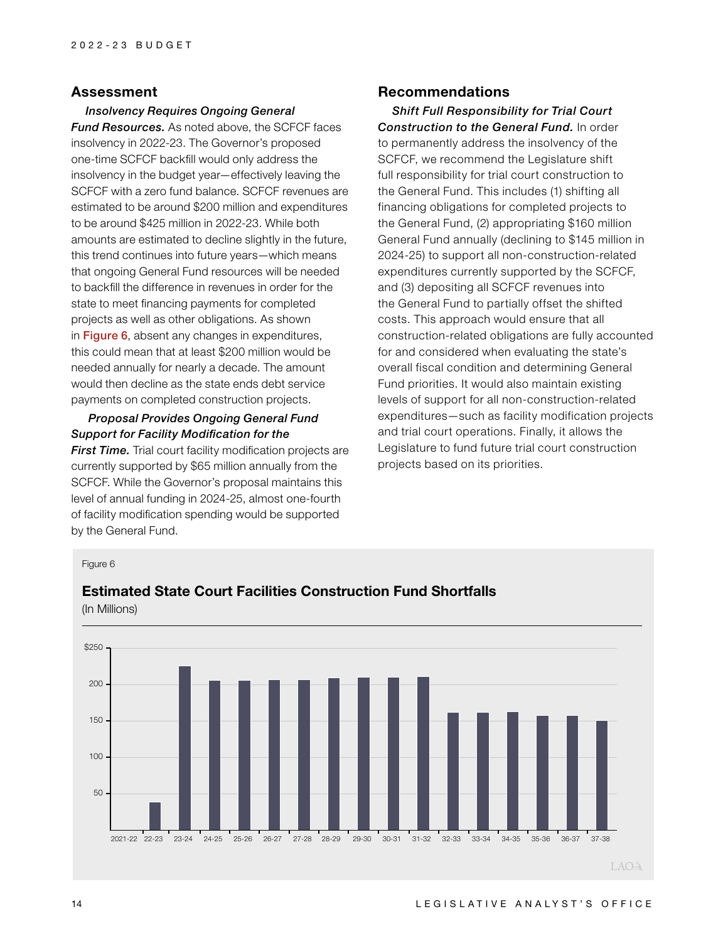### **Assessment**

*Insolvency Requires Ongoing General Fund Resources.* As noted above, the SCFCF faces insolvency in 2022-23. The Governor's proposed one-time SCFCF backfill would only address the insolvency in the budget year—effectively leaving the SCFCF with a zero fund balance. SCFCF revenues are estimated to be around \$200 million and expenditures to be around \$425 million in 2022-23. While both amounts are estimated to decline slightly in the future, this trend continues into future years—which means that ongoing General Fund resources will be needed to backfill the difference in revenues in order for the state to meet financing payments for completed projects as well as other obligations. As shown in **Figure 6**, absent any changes in expenditures, this could mean that at least \$200 million would be needed annually for nearly a decade. The amount would then decline as the state ends debt service payments on completed construction projects.

## *Proposal Provides Ongoing General Fund Support for Facility Modification for the*

*First Time.* Trial court facility modification projects are currently supported by \$65 million annually from the SCFCF. While the Governor's proposal maintains this level of annual funding in 2024-25, almost one-fourth of facility modification spending would be supported by the General Fund.

### **Recommendations**

*Shift Full Responsibility for Trial Court Construction to the General Fund.* In order to permanently address the insolvency of the SCFCF, we recommend the Legislature shift full responsibility for trial court construction to the General Fund. This includes (1) shifting all financing obligations for completed projects to the General Fund, (2) appropriating \$160 million General Fund annually (declining to \$145 million in 2024-25) to support all non-construction-related expenditures currently supported by the SCFCF, and (3) depositing all SCFCF revenues into the General Fund to partially offset the shifted costs. This approach would ensure that all construction-related obligations are fully accounted for and considered when evaluating the state's overall fiscal condition and determining General Fund priorities. It would also maintain existing levels of support for all non-construction-related expenditures—such as facility modification projects and trial court operations. Finally, it allows the Legislature to fund future trial court construction projects based on its priorities.

#### Figure 6



## **Estimated State Court Facilities Construction Fund Shortfalls** (In Millions)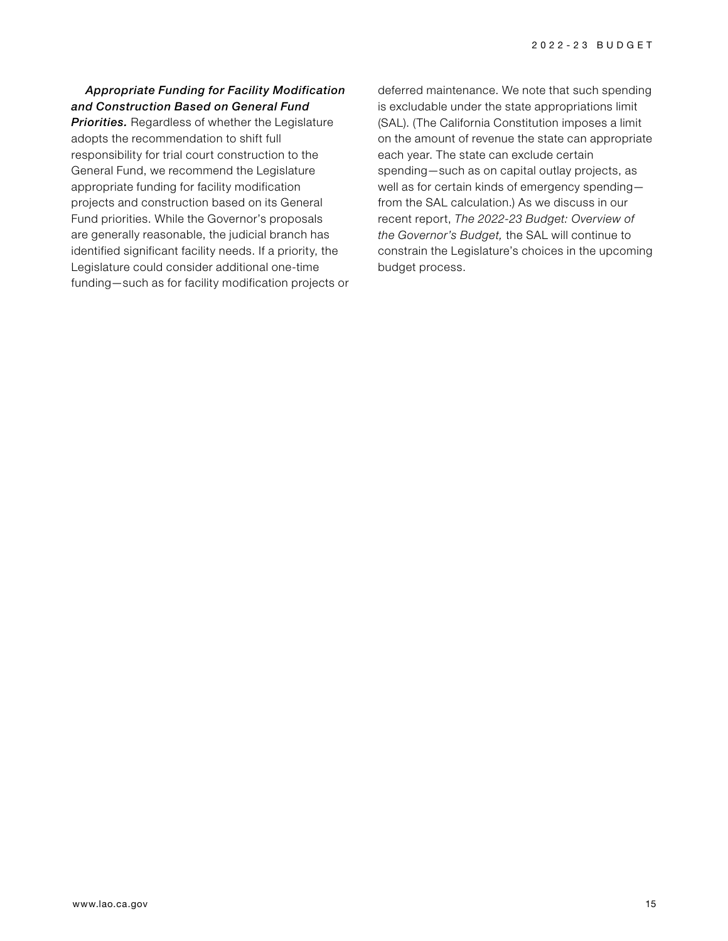### *Appropriate Funding for Facility Modification and Construction Based on General Fund*

*Priorities.* Regardless of whether the Legislature adopts the recommendation to shift full responsibility for trial court construction to the General Fund, we recommend the Legislature appropriate funding for facility modification projects and construction based on its General Fund priorities. While the Governor's proposals are generally reasonable, the judicial branch has identified significant facility needs. If a priority, the Legislature could consider additional one-time funding—such as for facility modification projects or deferred maintenance. We note that such spending is excludable under the state appropriations limit (SAL). (The California Constitution imposes a limit on the amount of revenue the state can appropriate each year. The state can exclude certain spending—such as on capital outlay projects, as well as for certain kinds of emergency spending from the SAL calculation.) As we discuss in our recent report, *The 2022-23 Budget: Overview of the Governor's Budget,* the SAL will continue to constrain the Legislature's choices in the upcoming budget process.